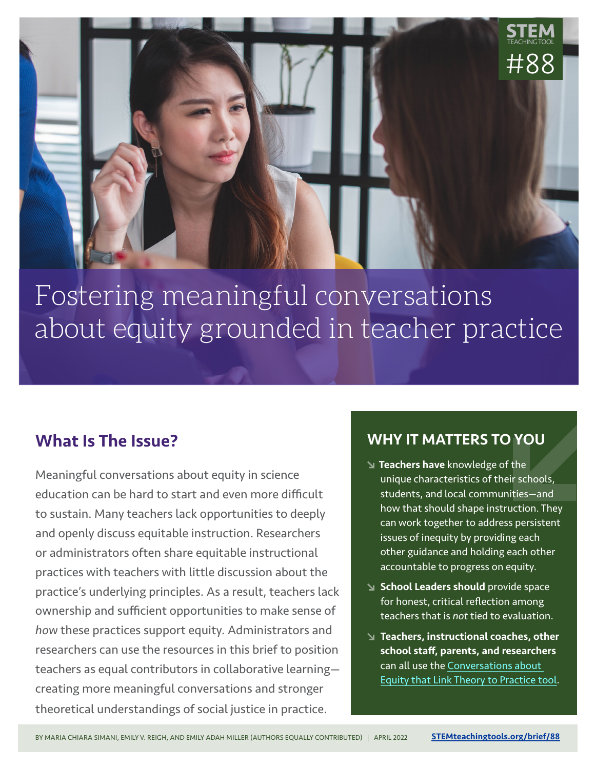

# Fostering meaningful conversations about equity grounded in teacher practice

## What Is The Issue?

Meaningful conversations about equity in science education can be hard to start and even more difficult to sustain. Many teachers lack opportunities to deeply and openly discuss equitable instruction. Researchers or administrators often share equitable instructional practices with teachers with little discussion about the practice's underlying principles. As a result, teachers lack ownership and sufficient opportunities to make sense of *how* these practices support equity. Administrators and researchers can use the resources in this brief to position teachers as equal contributors in collaborative learning creating more meaningful conversations and stronger theoretical understandings of social justice in practice.

#### WHY IT MATTERS TO YOU

- Teachers have knowledge of the unique characteristics of their schools, students, and local communities—and how that should shape instruction. They can work together to address persistent issues of inequity by providing each other guidance and holding each other accountable to progress on equity.
- School Leaders should provide space for honest, critical reflection among teachers that is *not* tied to evaluation.
- Teachers, instructional coaches, other school staff, parents, and researchers can all use the [Conversations about](http://stemteachingtools.org/link/8801)  [Equity that Link Theory to Practice tool](http://stemteachingtools.org/link/8801).